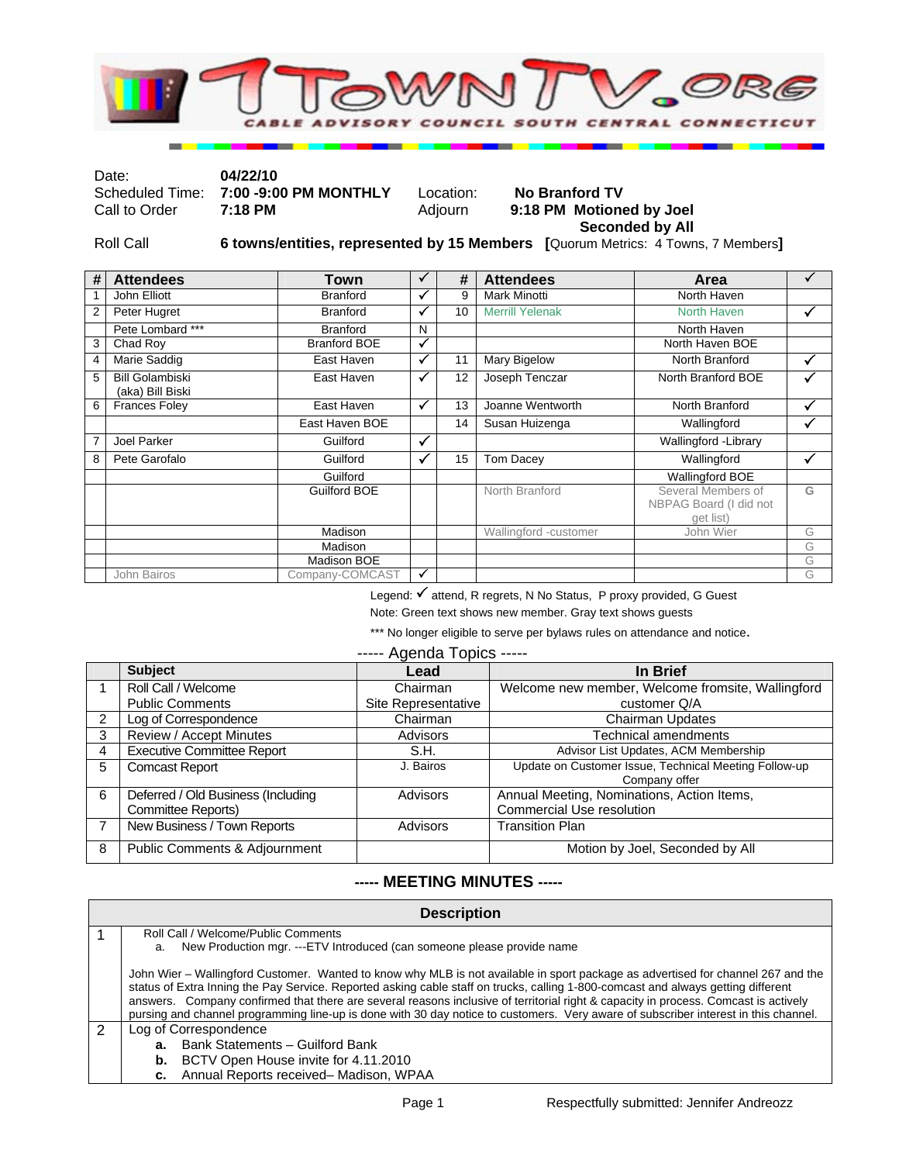

Date: **04/22/10**  Scheduled Time: **7:00 -9:00 PM MONTHLY** Location: **No Branford TV**  9:18 PM Motioned by Joel

 **Seconded by All**  Roll Call **6 towns/entities, represented by 15 Members [**Quorum Metrics: 4 Towns, 7 Members**]**

| # | <b>Attendees</b>                           | <b>Town</b>         |              | #  | <b>Attendees</b>       | Area                                                      |   |
|---|--------------------------------------------|---------------------|--------------|----|------------------------|-----------------------------------------------------------|---|
|   | John Elliott                               | <b>Branford</b>     | ✓            | 9  | <b>Mark Minotti</b>    | North Haven                                               |   |
| 2 | Peter Hugret                               | <b>Branford</b>     |              | 10 | <b>Merrill Yelenak</b> | <b>North Haven</b>                                        |   |
|   | Pete Lombard ***                           | <b>Branford</b>     | N            |    |                        | North Haven                                               |   |
| 3 | Chad Roy                                   | <b>Branford BOE</b> |              |    |                        | North Haven BOE                                           |   |
| 4 | Marie Saddig                               | East Haven          |              | 11 | Mary Bigelow           | North Branford                                            |   |
| 5 | <b>Bill Golambiski</b><br>(aka) Bill Biski | East Haven          |              | 12 | Joseph Tenczar         | North Branford BOE                                        |   |
| 6 | <b>Frances Foley</b>                       | East Haven          | $\checkmark$ | 13 | Joanne Wentworth       | North Branford                                            |   |
|   |                                            | East Haven BOE      |              | 14 | Susan Huizenga         | Wallingford                                               |   |
| 7 | Joel Parker                                | Guilford            | $\checkmark$ |    |                        | Wallingford - Library                                     |   |
| 8 | Pete Garofalo                              | Guilford            | ✓            | 15 | Tom Dacey              | Wallingford                                               | √ |
|   |                                            | Guilford            |              |    |                        | Wallingford BOE                                           |   |
|   |                                            | Guilford BOE        |              |    | North Branford         | Several Members of<br>NBPAG Board (I did not<br>get list) | G |
|   |                                            | Madison             |              |    | Wallingford -customer  | John Wier                                                 | G |
|   |                                            | Madison             |              |    |                        |                                                           | G |
|   |                                            | Madison BOE         |              |    |                        |                                                           | G |
|   | John Bairos                                | Company-COMCAST     |              |    |                        |                                                           | G |

Legend: √ attend, R regrets, N No Status, P proxy provided, G Guest

Note: Green text shows new member. Gray text shows guests

\*\*\* No longer eligible to serve per bylaws rules on attendance and notice.

## ----- Agenda Topics -----

|               | <b>Subject</b>                           | Lead                | In Brief                                                               |
|---------------|------------------------------------------|---------------------|------------------------------------------------------------------------|
|               | Roll Call / Welcome                      | Chairman            | Welcome new member, Welcome fromsite, Wallingford                      |
|               | <b>Public Comments</b>                   | Site Representative | customer Q/A                                                           |
| $\mathcal{P}$ | Log of Correspondence                    | Chairman            | <b>Chairman Updates</b>                                                |
| 3             | Review / Accept Minutes                  | Advisors            | <b>Technical amendments</b>                                            |
| 4             | <b>Executive Committee Report</b>        | S.H.                | Advisor List Updates, ACM Membership                                   |
| 5             | <b>Comcast Report</b>                    | J. Bairos           | Update on Customer Issue, Technical Meeting Follow-up<br>Company offer |
| 6             | Deferred / Old Business (Including       | <b>Advisors</b>     | Annual Meeting, Nominations, Action Items,                             |
|               | Committee Reports)                       |                     | <b>Commercial Use resolution</b>                                       |
|               | New Business / Town Reports              | <b>Advisors</b>     | <b>Transition Plan</b>                                                 |
| 8             | <b>Public Comments &amp; Adjournment</b> |                     | Motion by Joel, Seconded by All                                        |

## **----- MEETING MINUTES -----**

|   | <b>Description</b>                                                                                                                                                                                                                                                                                                                                                                                                                                                                                                                                  |  |  |  |  |
|---|-----------------------------------------------------------------------------------------------------------------------------------------------------------------------------------------------------------------------------------------------------------------------------------------------------------------------------------------------------------------------------------------------------------------------------------------------------------------------------------------------------------------------------------------------------|--|--|--|--|
|   | Roll Call / Welcome/Public Comments                                                                                                                                                                                                                                                                                                                                                                                                                                                                                                                 |  |  |  |  |
|   | New Production mgr. ---ETV Introduced (can someone please provide name<br>a.                                                                                                                                                                                                                                                                                                                                                                                                                                                                        |  |  |  |  |
|   | John Wier – Wallingford Customer. Wanted to know why MLB is not available in sport package as advertised for channel 267 and the<br>status of Extra Inning the Pay Service. Reported asking cable staff on trucks, calling 1-800-comcast and always getting different<br>answers. Company confirmed that there are several reasons inclusive of territorial right & capacity in process. Comcast is actively<br>pursing and channel programming line-up is done with 30 day notice to customers. Very aware of subscriber interest in this channel. |  |  |  |  |
| 2 | Log of Correspondence                                                                                                                                                                                                                                                                                                                                                                                                                                                                                                                               |  |  |  |  |
|   | <b>a.</b> Bank Statements – Guilford Bank                                                                                                                                                                                                                                                                                                                                                                                                                                                                                                           |  |  |  |  |
|   | <b>b.</b> BCTV Open House invite for 4.11.2010                                                                                                                                                                                                                                                                                                                                                                                                                                                                                                      |  |  |  |  |
|   | c. Annual Reports received-Madison, WPAA                                                                                                                                                                                                                                                                                                                                                                                                                                                                                                            |  |  |  |  |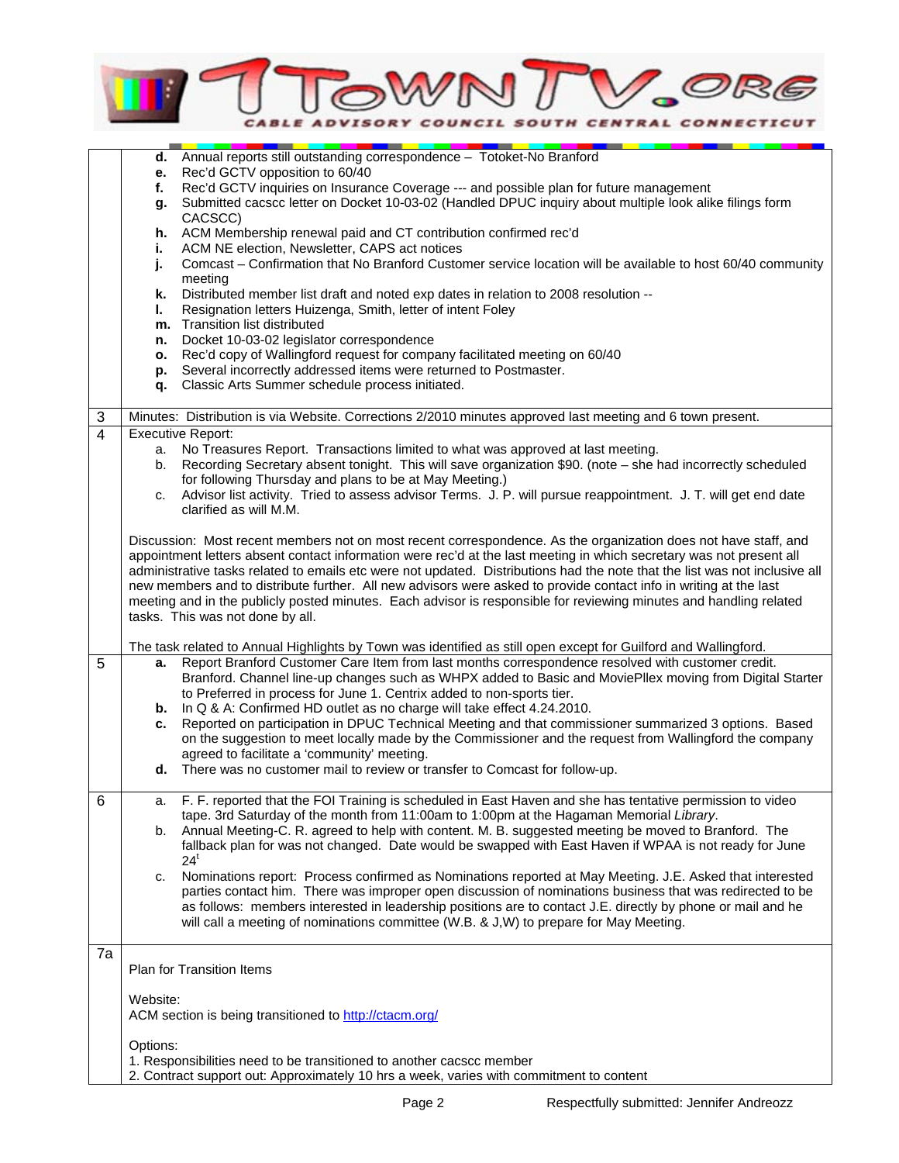

|                | d. Annual reports still outstanding correspondence - Totoket-No Branford                                                                                                                                |  |  |  |
|----------------|---------------------------------------------------------------------------------------------------------------------------------------------------------------------------------------------------------|--|--|--|
|                | Rec'd GCTV opposition to 60/40<br>е.                                                                                                                                                                    |  |  |  |
|                | Rec'd GCTV inquiries on Insurance Coverage --- and possible plan for future management<br>f.<br>Submitted cacscc letter on Docket 10-03-02 (Handled DPUC inquiry about multiple look alike filings form |  |  |  |
|                | g.<br>CACSCC)                                                                                                                                                                                           |  |  |  |
|                | h. ACM Membership renewal paid and CT contribution confirmed rec'd                                                                                                                                      |  |  |  |
|                | ACM NE election, Newsletter, CAPS act notices<br>i.                                                                                                                                                     |  |  |  |
|                | Comcast - Confirmation that No Branford Customer service location will be available to host 60/40 community<br>j.                                                                                       |  |  |  |
|                | meeting                                                                                                                                                                                                 |  |  |  |
|                | Distributed member list draft and noted exp dates in relation to 2008 resolution --<br>k.                                                                                                               |  |  |  |
|                | L.<br>Resignation letters Huizenga, Smith, letter of intent Foley                                                                                                                                       |  |  |  |
|                | m. Transition list distributed                                                                                                                                                                          |  |  |  |
|                | Docket 10-03-02 legislator correspondence<br>n.                                                                                                                                                         |  |  |  |
|                | o. Rec'd copy of Wallingford request for company facilitated meeting on 60/40                                                                                                                           |  |  |  |
|                | Several incorrectly addressed items were returned to Postmaster.<br>p.                                                                                                                                  |  |  |  |
|                | Classic Arts Summer schedule process initiated.<br>q.                                                                                                                                                   |  |  |  |
|                |                                                                                                                                                                                                         |  |  |  |
| 3              | Minutes: Distribution is via Website. Corrections 2/2010 minutes approved last meeting and 6 town present.                                                                                              |  |  |  |
| $\overline{4}$ | <b>Executive Report:</b><br>a. No Treasures Report. Transactions limited to what was approved at last meeting.                                                                                          |  |  |  |
|                | Recording Secretary absent tonight. This will save organization \$90. (note - she had incorrectly scheduled<br>b.                                                                                       |  |  |  |
|                | for following Thursday and plans to be at May Meeting.)                                                                                                                                                 |  |  |  |
|                | Advisor list activity. Tried to assess advisor Terms. J. P. will pursue reappointment. J. T. will get end date<br>C.                                                                                    |  |  |  |
|                | clarified as will M.M.                                                                                                                                                                                  |  |  |  |
|                |                                                                                                                                                                                                         |  |  |  |
|                | Discussion: Most recent members not on most recent correspondence. As the organization does not have staff, and                                                                                         |  |  |  |
|                | appointment letters absent contact information were rec'd at the last meeting in which secretary was not present all                                                                                    |  |  |  |
|                | administrative tasks related to emails etc were not updated. Distributions had the note that the list was not inclusive all                                                                             |  |  |  |
|                | new members and to distribute further. All new advisors were asked to provide contact info in writing at the last                                                                                       |  |  |  |
|                | meeting and in the publicly posted minutes. Each advisor is responsible for reviewing minutes and handling related                                                                                      |  |  |  |
|                | tasks. This was not done by all.                                                                                                                                                                        |  |  |  |
|                | The task related to Annual Highlights by Town was identified as still open except for Guilford and Wallingford.                                                                                         |  |  |  |
| 5              | Report Branford Customer Care Item from last months correspondence resolved with customer credit.<br>а.                                                                                                 |  |  |  |
|                | Branford. Channel line-up changes such as WHPX added to Basic and MoviePllex moving from Digital Starter                                                                                                |  |  |  |
|                | to Preferred in process for June 1. Centrix added to non-sports tier.                                                                                                                                   |  |  |  |
|                | <b>b.</b> In Q & A: Confirmed HD outlet as no charge will take effect 4.24.2010.                                                                                                                        |  |  |  |
|                | Reported on participation in DPUC Technical Meeting and that commissioner summarized 3 options. Based<br>c.                                                                                             |  |  |  |
|                | on the suggestion to meet locally made by the Commissioner and the request from Wallingford the company                                                                                                 |  |  |  |
|                | agreed to facilitate a 'community' meeting.                                                                                                                                                             |  |  |  |
|                | d. There was no customer mail to review or transfer to Comcast for follow-up.                                                                                                                           |  |  |  |
| 6              | F. F. reported that the FOI Training is scheduled in East Haven and she has tentative permission to video<br>a.                                                                                         |  |  |  |
|                | tape. 3rd Saturday of the month from 11:00am to 1:00pm at the Hagaman Memorial Library.                                                                                                                 |  |  |  |
|                | Annual Meeting-C. R. agreed to help with content. M. B. suggested meeting be moved to Branford. The<br>b.                                                                                               |  |  |  |
|                | fallback plan for was not changed. Date would be swapped with East Haven if WPAA is not ready for June                                                                                                  |  |  |  |
|                | $24^t$                                                                                                                                                                                                  |  |  |  |
|                | Nominations report: Process confirmed as Nominations reported at May Meeting. J.E. Asked that interested<br>C.                                                                                          |  |  |  |
|                | parties contact him. There was improper open discussion of nominations business that was redirected to be                                                                                               |  |  |  |
|                | as follows: members interested in leadership positions are to contact J.E. directly by phone or mail and he                                                                                             |  |  |  |
|                | will call a meeting of nominations committee (W.B. & J,W) to prepare for May Meeting.                                                                                                                   |  |  |  |
|                |                                                                                                                                                                                                         |  |  |  |
| 7a             | Plan for Transition Items                                                                                                                                                                               |  |  |  |
|                |                                                                                                                                                                                                         |  |  |  |
|                | Website:                                                                                                                                                                                                |  |  |  |
|                | ACM section is being transitioned to http://ctacm.org/                                                                                                                                                  |  |  |  |
|                |                                                                                                                                                                                                         |  |  |  |
|                | Options:                                                                                                                                                                                                |  |  |  |
|                | 1. Responsibilities need to be transitioned to another cacscc member                                                                                                                                    |  |  |  |
|                | 2. Contract support out: Approximately 10 hrs a week, varies with commitment to content                                                                                                                 |  |  |  |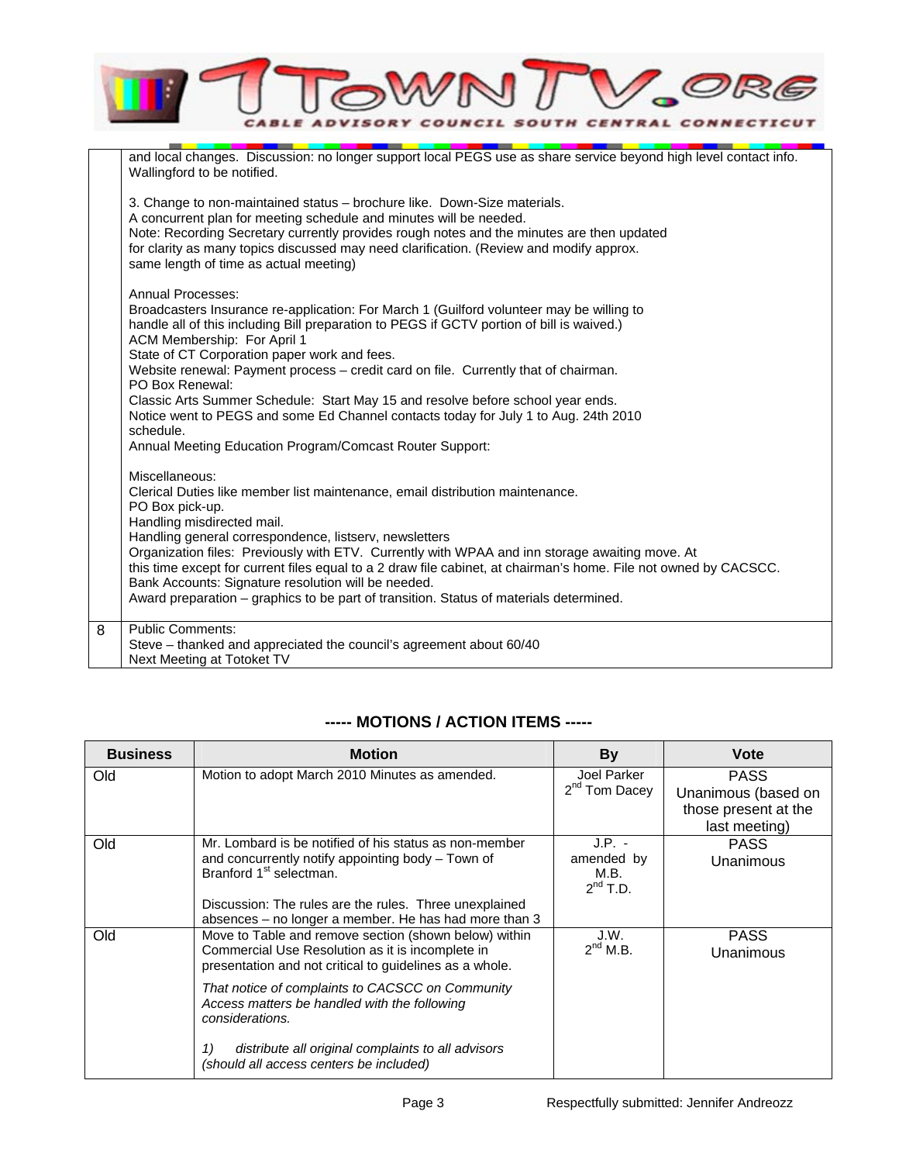|   | <b>CENTRAL CONNEC</b><br><i>OUNCIL SOUTH</i>                                                                                                                                                                                                                                                                                                                                                                                                                                                                                                                                  |
|---|-------------------------------------------------------------------------------------------------------------------------------------------------------------------------------------------------------------------------------------------------------------------------------------------------------------------------------------------------------------------------------------------------------------------------------------------------------------------------------------------------------------------------------------------------------------------------------|
|   | and local changes. Discussion: no longer support local PEGS use as share service beyond high level contact info.<br>Wallingford to be notified.                                                                                                                                                                                                                                                                                                                                                                                                                               |
|   | 3. Change to non-maintained status – brochure like. Down-Size materials.<br>A concurrent plan for meeting schedule and minutes will be needed.<br>Note: Recording Secretary currently provides rough notes and the minutes are then updated<br>for clarity as many topics discussed may need clarification. (Review and modify approx.<br>same length of time as actual meeting)                                                                                                                                                                                              |
|   | Annual Processes:<br>Broadcasters Insurance re-application: For March 1 (Guilford volunteer may be willing to<br>handle all of this including Bill preparation to PEGS if GCTV portion of bill is waived.)<br>ACM Membership: For April 1<br>State of CT Corporation paper work and fees.<br>Website renewal: Payment process - credit card on file. Currently that of chairman.<br>PO Box Renewal:<br>Classic Arts Summer Schedule: Start May 15 and resolve before school year ends.<br>Notice went to PEGS and some Ed Channel contacts today for July 1 to Aug. 24th 2010 |
|   | schedule.<br>Annual Meeting Education Program/Comcast Router Support:                                                                                                                                                                                                                                                                                                                                                                                                                                                                                                         |
|   | Miscellaneous:<br>Clerical Duties like member list maintenance, email distribution maintenance.<br>PO Box pick-up.<br>Handling misdirected mail.                                                                                                                                                                                                                                                                                                                                                                                                                              |
|   | Handling general correspondence, listserv, newsletters<br>Organization files: Previously with ETV. Currently with WPAA and inn storage awaiting move. At<br>this time except for current files equal to a 2 draw file cabinet, at chairman's home. File not owned by CACSCC.<br>Bank Accounts: Signature resolution will be needed.<br>Award preparation – graphics to be part of transition. Status of materials determined.                                                                                                                                                 |
| 8 | <b>Public Comments:</b><br>Steve – thanked and appreciated the council's agreement about 60/40<br>Next Meeting at Totoket TV                                                                                                                                                                                                                                                                                                                                                                                                                                                  |

## **----- MOTIONS / ACTION ITEMS -----**

| <b>Business</b> | <b>Motion</b>                                                                                                                                                                                                                                                         | <b>By</b>                                       | Vote                                                                        |
|-----------------|-----------------------------------------------------------------------------------------------------------------------------------------------------------------------------------------------------------------------------------------------------------------------|-------------------------------------------------|-----------------------------------------------------------------------------|
| Old             | Motion to adopt March 2010 Minutes as amended.                                                                                                                                                                                                                        | Joel Parker<br>2 <sup>nd</sup> Tom Dacey        | <b>PASS</b><br>Unanimous (based on<br>those present at the<br>last meeting) |
| Old             | Mr. Lombard is be notified of his status as non-member<br>and concurrently notify appointing body – Town of<br>Branford 1 <sup>st</sup> selectman.<br>Discussion: The rules are the rules. Three unexplained<br>absences - no longer a member. He has had more than 3 | $J.P. -$<br>amended by<br>M.B.<br>$2^{nd}$ T.D. | <b>PASS</b><br>Unanimous                                                    |
| Old             | Move to Table and remove section (shown below) within<br>Commercial Use Resolution as it is incomplete in<br>presentation and not critical to guidelines as a whole.                                                                                                  | J.W.<br>$2^{nd}$ M.B.                           | <b>PASS</b><br>Unanimous                                                    |
|                 | That notice of complaints to CACSCC on Community<br>Access matters be handled with the following<br>considerations.                                                                                                                                                   |                                                 |                                                                             |
|                 | 1)<br>distribute all original complaints to all advisors<br>(should all access centers be included)                                                                                                                                                                   |                                                 |                                                                             |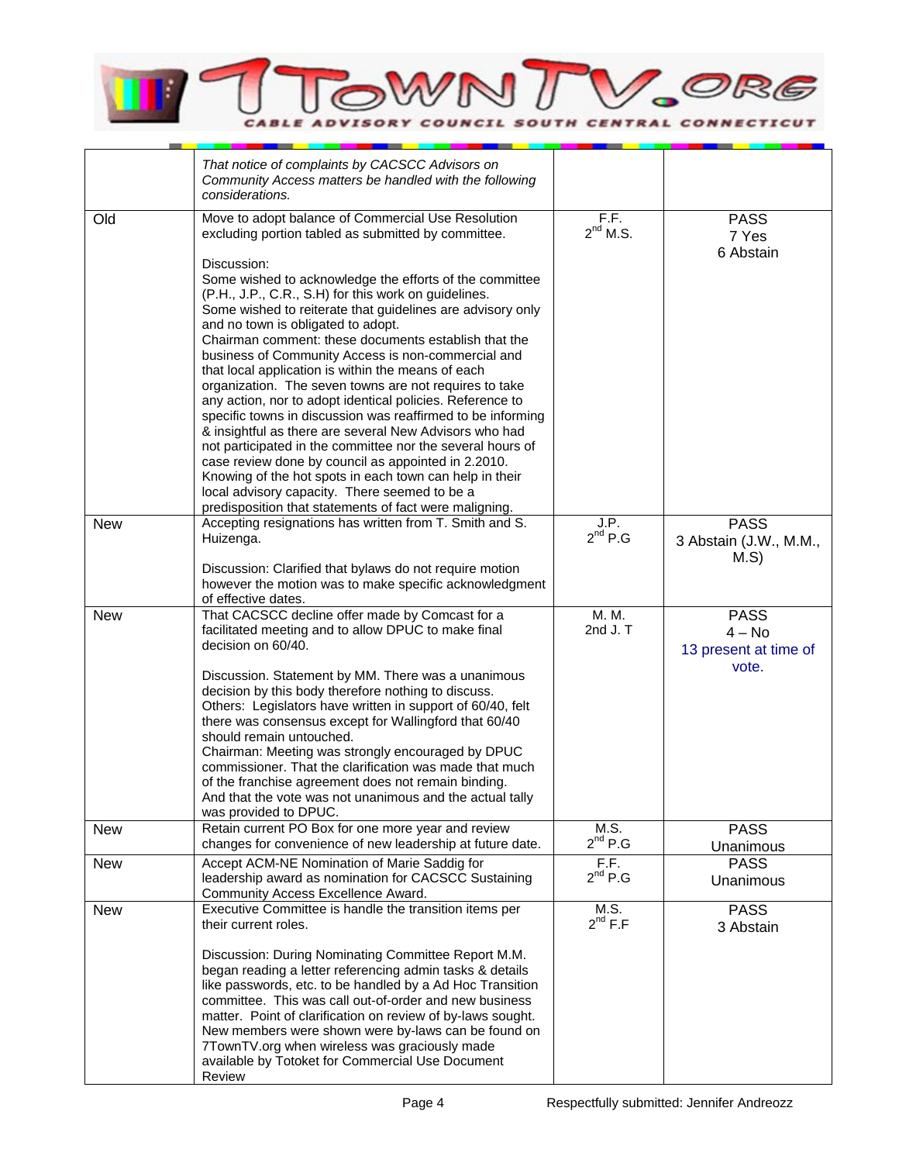

|            | That notice of complaints by CACSCC Advisors on<br>Community Access matters be handled with the following<br>considerations.                                                                                                                                                                                                                                                                                                                                                                                                                                                                                                                                                                                                                                                                                                                                                                                                                                                                         |                       |                                                           |
|------------|------------------------------------------------------------------------------------------------------------------------------------------------------------------------------------------------------------------------------------------------------------------------------------------------------------------------------------------------------------------------------------------------------------------------------------------------------------------------------------------------------------------------------------------------------------------------------------------------------------------------------------------------------------------------------------------------------------------------------------------------------------------------------------------------------------------------------------------------------------------------------------------------------------------------------------------------------------------------------------------------------|-----------------------|-----------------------------------------------------------|
| Old        | Move to adopt balance of Commercial Use Resolution<br>excluding portion tabled as submitted by committee.<br>Discussion:<br>Some wished to acknowledge the efforts of the committee<br>(P.H., J.P., C.R., S.H) for this work on guidelines.<br>Some wished to reiterate that guidelines are advisory only<br>and no town is obligated to adopt.<br>Chairman comment: these documents establish that the<br>business of Community Access is non-commercial and<br>that local application is within the means of each<br>organization. The seven towns are not requires to take<br>any action, nor to adopt identical policies. Reference to<br>specific towns in discussion was reaffirmed to be informing<br>& insightful as there are several New Advisors who had<br>not participated in the committee nor the several hours of<br>case review done by council as appointed in 2.2010.<br>Knowing of the hot spots in each town can help in their<br>local advisory capacity. There seemed to be a | F.F.<br>$2^{nd}$ M.S. | <b>PASS</b><br>7 Yes<br>6 Abstain                         |
| <b>New</b> | predisposition that statements of fact were maligning.<br>Accepting resignations has written from T. Smith and S.<br>Huizenga.<br>Discussion: Clarified that bylaws do not require motion<br>however the motion was to make specific acknowledgment<br>of effective dates.                                                                                                                                                                                                                                                                                                                                                                                                                                                                                                                                                                                                                                                                                                                           | J.P.<br>$2^{nd}$ P.G  | <b>PASS</b><br>3 Abstain (J.W., M.M.,<br>M.S              |
| <b>New</b> | That CACSCC decline offer made by Comcast for a<br>facilitated meeting and to allow DPUC to make final<br>decision on 60/40.<br>Discussion. Statement by MM. There was a unanimous<br>decision by this body therefore nothing to discuss.<br>Others: Legislators have written in support of 60/40, felt<br>there was consensus except for Wallingford that 60/40<br>should remain untouched.<br>Chairman: Meeting was strongly encouraged by DPUC<br>commissioner. That the clarification was made that much<br>of the franchise agreement does not remain binding.<br>And that the vote was not unanimous and the actual tally<br>was provided to DPUC.                                                                                                                                                                                                                                                                                                                                             | M. M.<br>2nd $J. T$   | <b>PASS</b><br>$4 - No$<br>13 present at time of<br>vote. |
| <b>New</b> | Retain current PO Box for one more year and review<br>changes for convenience of new leadership at future date.                                                                                                                                                                                                                                                                                                                                                                                                                                                                                                                                                                                                                                                                                                                                                                                                                                                                                      | M.S.<br>$2^{nd}$ P.G  | <b>PASS</b><br>Unanimous                                  |
| <b>New</b> | Accept ACM-NE Nomination of Marie Saddig for<br>leadership award as nomination for CACSCC Sustaining<br>Community Access Excellence Award.                                                                                                                                                                                                                                                                                                                                                                                                                                                                                                                                                                                                                                                                                                                                                                                                                                                           | F.F.<br>$2^{nd}$ P.G  | <b>PASS</b><br>Unanimous                                  |
| <b>New</b> | Executive Committee is handle the transition items per<br>their current roles.<br>Discussion: During Nominating Committee Report M.M.<br>began reading a letter referencing admin tasks & details<br>like passwords, etc. to be handled by a Ad Hoc Transition<br>committee. This was call out-of-order and new business<br>matter. Point of clarification on review of by-laws sought.<br>New members were shown were by-laws can be found on<br>7TownTV.org when wireless was graciously made<br>available by Totoket for Commercial Use Document<br>Review                                                                                                                                                                                                                                                                                                                                                                                                                                        | M.S.<br>$2^{nd} F.F$  | <b>PASS</b><br>3 Abstain                                  |